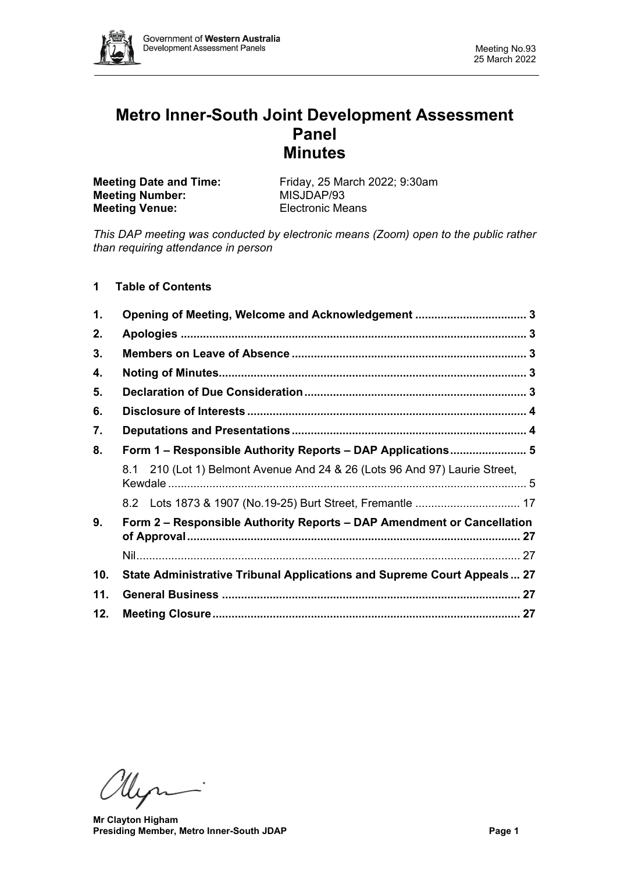

# **Metro Inner-South Joint Development Assessment Panel Minutes**

| Friday, 25 March 2022; 9:30am |
|-------------------------------|
| MISJDAP/93                    |
| Electronic Means              |
|                               |

*This DAP meeting was conducted by electronic means (Zoom) open to the public rather than requiring attendance in person*

# **1 Table of Contents**

| 1.  |                                                                            |  |  |  |  |  |  |
|-----|----------------------------------------------------------------------------|--|--|--|--|--|--|
| 2.  |                                                                            |  |  |  |  |  |  |
| 3.  |                                                                            |  |  |  |  |  |  |
| 4.  |                                                                            |  |  |  |  |  |  |
| 5.  |                                                                            |  |  |  |  |  |  |
| 6.  |                                                                            |  |  |  |  |  |  |
| 7.  |                                                                            |  |  |  |  |  |  |
| 8.  | Form 1 – Responsible Authority Reports – DAP Applications 5                |  |  |  |  |  |  |
|     | 8.1 210 (Lot 1) Belmont Avenue And 24 & 26 (Lots 96 And 97) Laurie Street, |  |  |  |  |  |  |
|     |                                                                            |  |  |  |  |  |  |
| 9.  | Form 2 – Responsible Authority Reports – DAP Amendment or Cancellation     |  |  |  |  |  |  |
|     |                                                                            |  |  |  |  |  |  |
| 10. | State Administrative Tribunal Applications and Supreme Court Appeals 27    |  |  |  |  |  |  |
| 11. |                                                                            |  |  |  |  |  |  |
| 12. |                                                                            |  |  |  |  |  |  |

Myr

**Mr Clayton Higham Presiding Member, Metro Inner-South JDAP Page 1**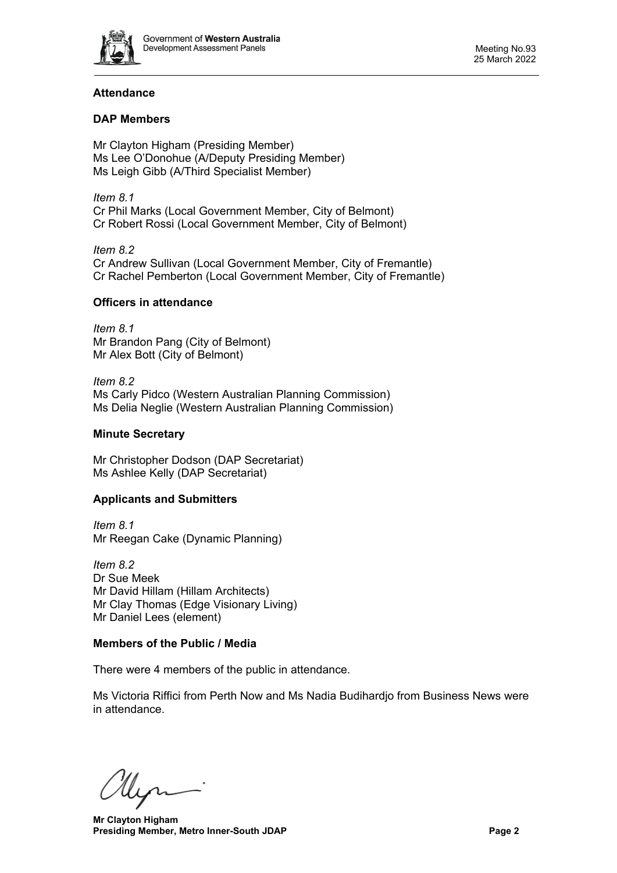

# **Attendance**

# **DAP Members**

Mr Clayton Higham (Presiding Member) Ms Lee O'Donohue (A/Deputy Presiding Member) Ms Leigh Gibb (A/Third Specialist Member)

*Item 8.1* Cr Phil Marks (Local Government Member, City of Belmont) Cr Robert Rossi (Local Government Member, City of Belmont)

*Item 8.2* Cr Andrew Sullivan (Local Government Member, City of Fremantle) Cr Rachel Pemberton (Local Government Member, City of Fremantle)

# **Officers in attendance**

*Item 8.1* Mr Brandon Pang (City of Belmont) Mr Alex Bott (City of Belmont)

*Item 8.2* Ms Carly Pidco (Western Australian Planning Commission) Ms Delia Neglie (Western Australian Planning Commission)

# **Minute Secretary**

Mr Christopher Dodson (DAP Secretariat) Ms Ashlee Kelly (DAP Secretariat)

# **Applicants and Submitters**

*Item 8.1* Mr Reegan Cake (Dynamic Planning)

*Item 8.2* Dr Sue Meek Mr David Hillam (Hillam Architects) Mr Clay Thomas (Edge Visionary Living) Mr Daniel Lees (element)

# **Members of the Public / Media**

There were 4 members of the public in attendance.

Ms Victoria Riffici from Perth Now and Ms Nadia Budihardjo from Business News were in attendance.

llen

**Mr Clayton Higham Presiding Member, Metro Inner-South JDAP Page 2 Page 2**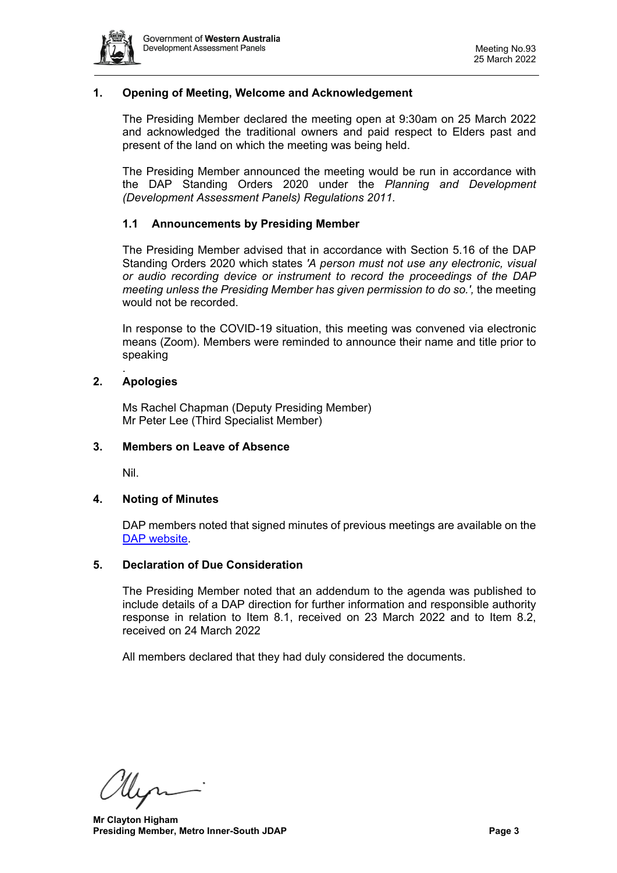

# <span id="page-2-0"></span>**1. Opening of Meeting, Welcome and Acknowledgement**

The Presiding Member declared the meeting open at 9:30am on 25 March 2022 and acknowledged the traditional owners and paid respect to Elders past and present of the land on which the meeting was being held.

The Presiding Member announced the meeting would be run in accordance with the DAP Standing Orders 2020 under the *Planning and Development (Development Assessment Panels) Regulations 2011.*

#### **1.1 Announcements by Presiding Member**

The Presiding Member advised that in accordance with Section 5.16 of the DAP Standing Orders 2020 which states *'A person must not use any electronic, visual or audio recording device or instrument to record the proceedings of the DAP meeting unless the Presiding Member has given permission to do so.',* the meeting would not be recorded.

In response to the COVID-19 situation, this meeting was convened via electronic means (Zoom). Members were reminded to announce their name and title prior to speaking

#### <span id="page-2-1"></span>**2. Apologies**

.

Ms Rachel Chapman (Deputy Presiding Member) Mr Peter Lee (Third Specialist Member)

#### <span id="page-2-2"></span>**3. Members on Leave of Absence**

Nil.

#### <span id="page-2-3"></span>**4. Noting of Minutes**

DAP members noted that signed minutes of previous meetings are available on the [DAP website.](https://www.dplh.wa.gov.au/about/development-assessment-panels/daps-agendas-and-minutes)

#### <span id="page-2-4"></span>**5. Declaration of Due Consideration**

The Presiding Member noted that an addendum to the agenda was published to include details of a DAP direction for further information and responsible authority response in relation to Item 8.1, received on 23 March 2022 and to Item 8.2, received on 24 March 2022

All members declared that they had duly considered the documents.

Un

**Mr Clayton Higham Presiding Member, Metro Inner-South JDAP Page 3 Page 3**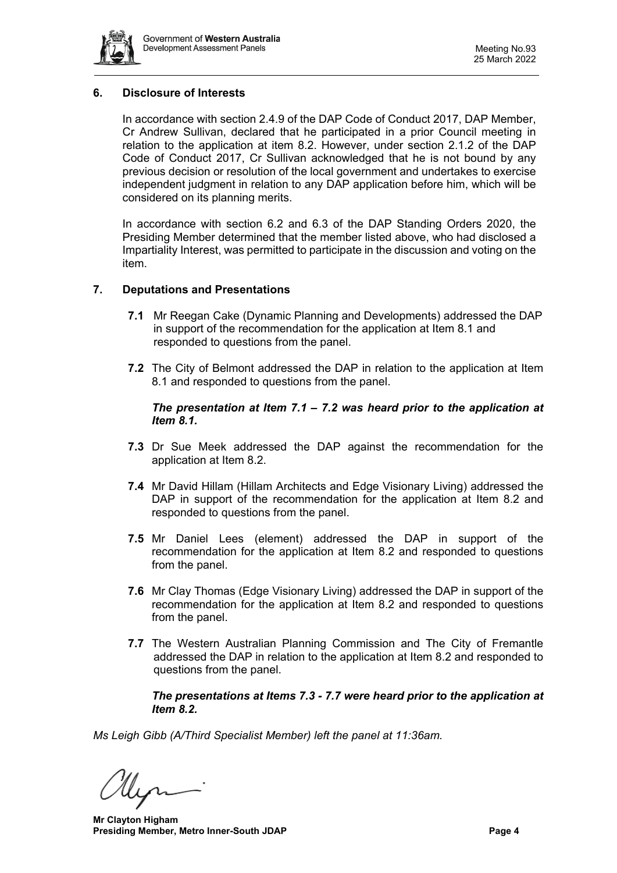

# <span id="page-3-0"></span>**6. Disclosure of Interests**

In accordance with section 2.4.9 of the DAP Code of Conduct 2017, DAP Member, Cr Andrew Sullivan, declared that he participated in a prior Council meeting in relation to the application at item 8.2. However, under section 2.1.2 of the DAP Code of Conduct 2017, Cr Sullivan acknowledged that he is not bound by any previous decision or resolution of the local government and undertakes to exercise independent judgment in relation to any DAP application before him, which will be considered on its planning merits.

In accordance with section 6.2 and 6.3 of the DAP Standing Orders 2020, the Presiding Member determined that the member listed above, who had disclosed a Impartiality Interest, was permitted to participate in the discussion and voting on the item.

#### <span id="page-3-1"></span>**7. Deputations and Presentations**

- **7.1** Mr Reegan Cake (Dynamic Planning and Developments) addressed the DAP in support of the recommendation for the application at Item 8.1 and responded to questions from the panel.
- **7.2** The City of Belmont addressed the DAP in relation to the application at Item 8.1 and responded to questions from the panel.

#### *The presentation at Item 7.1 – 7.2 was heard prior to the application at Item 8.1.*

- **7.3** Dr Sue Meek addressed the DAP against the recommendation for the application at Item 8.2.
- **7.4** Mr David Hillam (Hillam Architects and Edge Visionary Living) addressed the DAP in support of the recommendation for the application at Item 8.2 and responded to questions from the panel.
- **7.5** Mr Daniel Lees (element) addressed the DAP in support of the recommendation for the application at Item 8.2 and responded to questions from the panel.
- **7.6** Mr Clay Thomas (Edge Visionary Living) addressed the DAP in support of the recommendation for the application at Item 8.2 and responded to questions from the panel.
- **7.7** The Western Australian Planning Commission and The City of Fremantle addressed the DAP in relation to the application at Item 8.2 and responded to questions from the panel.

<span id="page-3-2"></span>*The presentations at Items 7.3 - 7.7 were heard prior to the application at Item 8.2.* 

*Ms Leigh Gibb (A/Third Specialist Member) left the panel at 11:36am.*

**Mr Clayton Higham Presiding Member, Metro Inner-South JDAP Page 4 Page 4**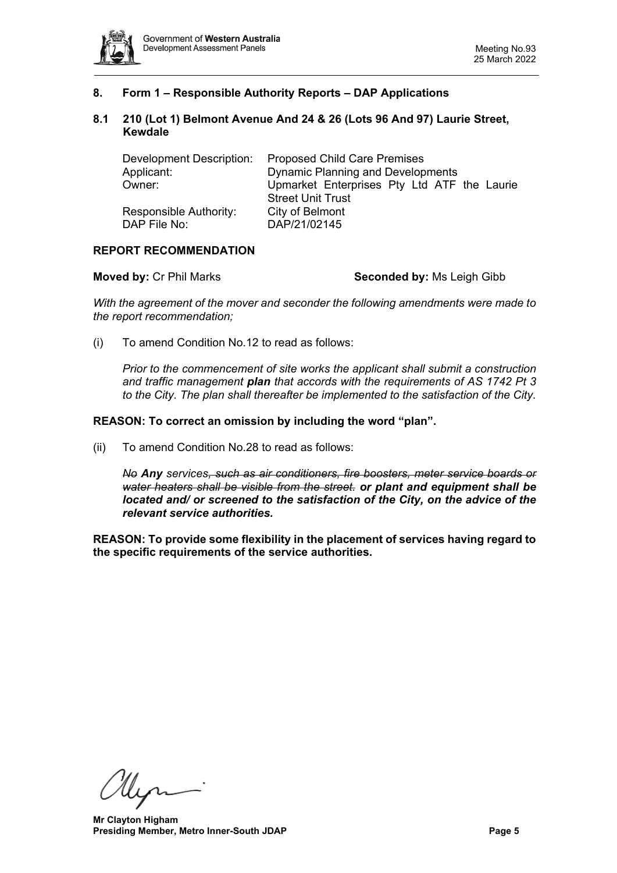

# **8. Form 1 – Responsible Authority Reports – DAP Applications**

#### <span id="page-4-0"></span>**8.1 210 (Lot 1) Belmont Avenue And 24 & 26 (Lots 96 And 97) Laurie Street, Kewdale**

| Development Description: | <b>Proposed Child Care Premises</b><br><b>Dynamic Planning and Developments</b> |  |  |  |
|--------------------------|---------------------------------------------------------------------------------|--|--|--|
| Applicant:               |                                                                                 |  |  |  |
| Owner:                   | Upmarket Enterprises Pty Ltd ATF the Laurie                                     |  |  |  |
|                          | <b>Street Unit Trust</b>                                                        |  |  |  |
| Responsible Authority:   | City of Belmont                                                                 |  |  |  |
| DAP File No:             | DAP/21/02145                                                                    |  |  |  |

#### **REPORT RECOMMENDATION**

**Moved by: Cr Phil Marks <b>Seconded by:** Ms Leigh Gibb

*With the agreement of the mover and seconder the following amendments were made to the report recommendation;*

(i) To amend Condition No.12 to read as follows:

*Prior to the commencement of site works the applicant shall submit a construction and traffic management plan that accords with the requirements of AS 1742 Pt 3 to the City. The plan shall thereafter be implemented to the satisfaction of the City.* 

#### **REASON: To correct an omission by including the word "plan".**

(ii) To amend Condition No.28 to read as follows:

*No Any services, such as air conditioners, fire boosters, meter service boards or water heaters shall be visible from the street. or plant and equipment shall be located and/ or screened to the satisfaction of the City, on the advice of the relevant service authorities.*

**REASON: To provide some flexibility in the placement of services having regard to the specific requirements of the service authorities.**

Uin

**Mr Clayton Higham Presiding Member, Metro Inner-South JDAP Page 5**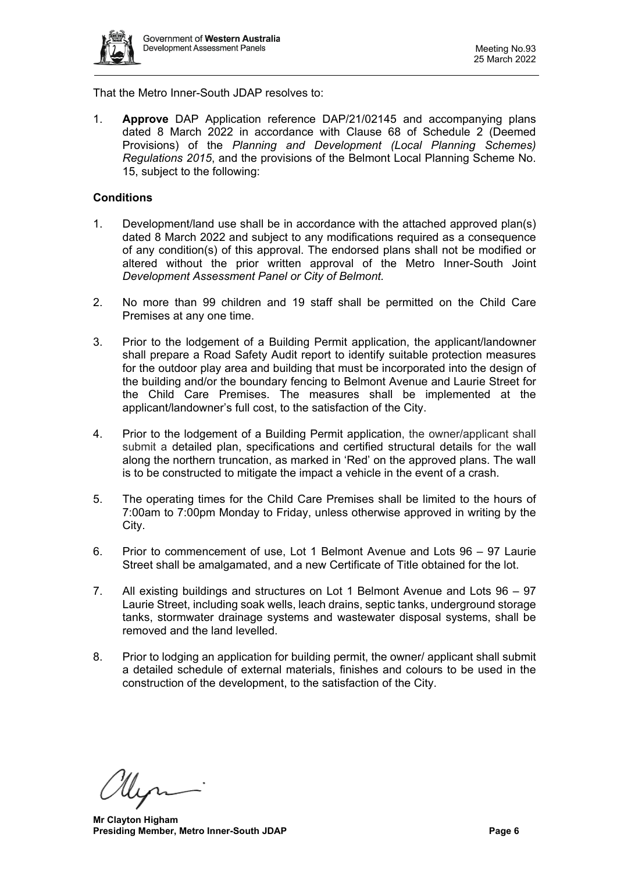

That the Metro Inner-South JDAP resolves to:

1. **Approve** DAP Application reference DAP/21/02145 and accompanying plans dated 8 March 2022 in accordance with Clause 68 of Schedule 2 (Deemed Provisions) of the *Planning and Development (Local Planning Schemes) Regulations 2015*, and the provisions of the Belmont Local Planning Scheme No. 15, subject to the following:

# **Conditions**

- 1. Development/land use shall be in accordance with the attached approved plan(s) dated 8 March 2022 and subject to any modifications required as a consequence of any condition(s) of this approval. The endorsed plans shall not be modified or altered without the prior written approval of the Metro Inner-South Joint *Development Assessment Panel or City of Belmont.*
- 2. No more than 99 children and 19 staff shall be permitted on the Child Care Premises at any one time.
- 3. Prior to the lodgement of a Building Permit application, the applicant/landowner shall prepare a Road Safety Audit report to identify suitable protection measures for the outdoor play area and building that must be incorporated into the design of the building and/or the boundary fencing to Belmont Avenue and Laurie Street for the Child Care Premises. The measures shall be implemented at the applicant/landowner's full cost, to the satisfaction of the City.
- 4. Prior to the lodgement of a Building Permit application, the owner/applicant shall submit a detailed plan, specifications and certified structural details for the wall along the northern truncation, as marked in 'Red' on the approved plans. The wall is to be constructed to mitigate the impact a vehicle in the event of a crash.
- 5. The operating times for the Child Care Premises shall be limited to the hours of 7:00am to 7:00pm Monday to Friday, unless otherwise approved in writing by the City.
- 6. Prior to commencement of use, Lot 1 Belmont Avenue and Lots 96 97 Laurie Street shall be amalgamated, and a new Certificate of Title obtained for the lot.
- 7. All existing buildings and structures on Lot 1 Belmont Avenue and Lots 96 97 Laurie Street, including soak wells, leach drains, septic tanks, underground storage tanks, stormwater drainage systems and wastewater disposal systems, shall be removed and the land levelled.
- 8. Prior to lodging an application for building permit, the owner/ applicant shall submit a detailed schedule of external materials, finishes and colours to be used in the construction of the development, to the satisfaction of the City.

**Mr Clayton Higham Presiding Member, Metro Inner-South JDAP Page 6 Page 6**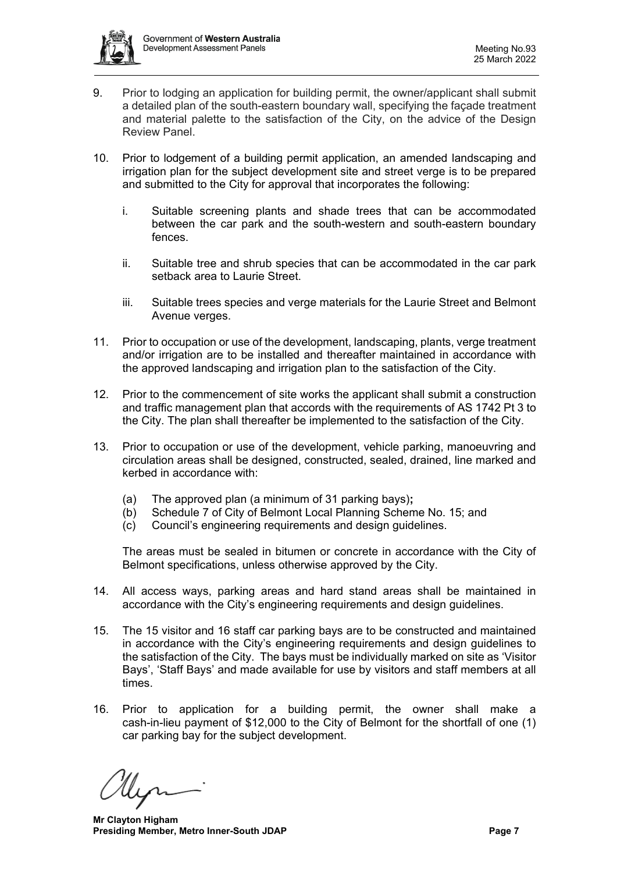

- 9. Prior to lodging an application for building permit, the owner/applicant shall submit a detailed plan of the south-eastern boundary wall, specifying the façade treatment and material palette to the satisfaction of the City, on the advice of the Design Review Panel.
- 10. Prior to lodgement of a building permit application, an amended landscaping and irrigation plan for the subject development site and street verge is to be prepared and submitted to the City for approval that incorporates the following:
	- i. Suitable screening plants and shade trees that can be accommodated between the car park and the south-western and south-eastern boundary fences.
	- ii. Suitable tree and shrub species that can be accommodated in the car park setback area to Laurie Street.
	- iii. Suitable trees species and verge materials for the Laurie Street and Belmont Avenue verges.
- 11. Prior to occupation or use of the development, landscaping, plants, verge treatment and/or irrigation are to be installed and thereafter maintained in accordance with the approved landscaping and irrigation plan to the satisfaction of the City.
- 12. Prior to the commencement of site works the applicant shall submit a construction and traffic management plan that accords with the requirements of AS 1742 Pt 3 to the City. The plan shall thereafter be implemented to the satisfaction of the City.
- 13. Prior to occupation or use of the development, vehicle parking, manoeuvring and circulation areas shall be designed, constructed, sealed, drained, line marked and kerbed in accordance with:
	- (a) The approved plan (a minimum of 31 parking bays)**;**
	- Schedule 7 of City of Belmont Local Planning Scheme No. 15; and
	- (c) Council's engineering requirements and design guidelines.

The areas must be sealed in bitumen or concrete in accordance with the City of Belmont specifications, unless otherwise approved by the City.

- 14. All access ways, parking areas and hard stand areas shall be maintained in accordance with the City's engineering requirements and design guidelines.
- 15. The 15 visitor and 16 staff car parking bays are to be constructed and maintained in accordance with the City's engineering requirements and design guidelines to the satisfaction of the City. The bays must be individually marked on site as 'Visitor Bays', 'Staff Bays' and made available for use by visitors and staff members at all times.
- 16. Prior to application for a building permit, the owner shall make a cash-in-lieu payment of \$12,000 to the City of Belmont for the shortfall of one (1) car parking bay for the subject development.

**Mr Clayton Higham Presiding Member, Metro Inner-South JDAP Page 7 Page 7**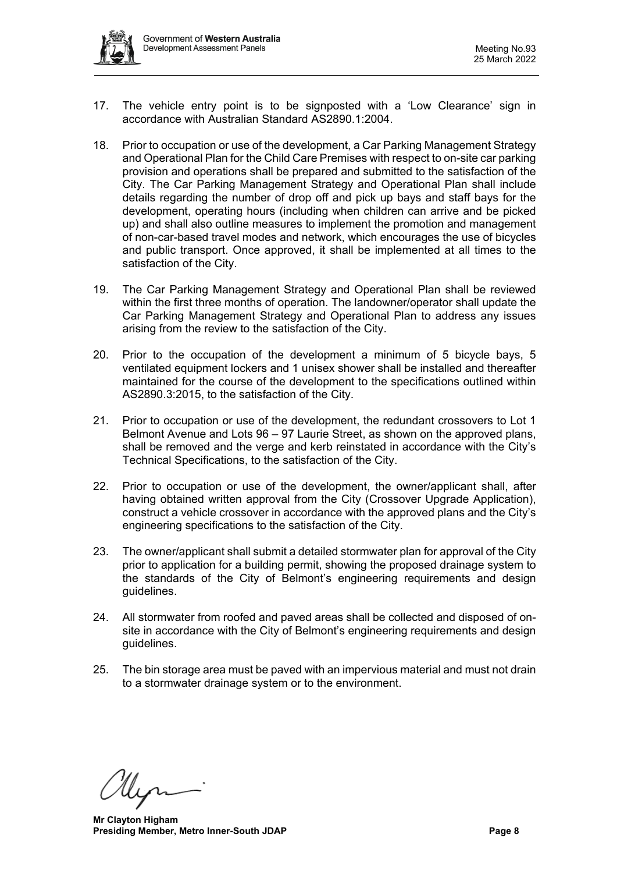

- 17. The vehicle entry point is to be signposted with a 'Low Clearance' sign in accordance with Australian Standard AS2890.1:2004.
- 18. Prior to occupation or use of the development, a Car Parking Management Strategy and Operational Plan for the Child Care Premises with respect to on-site car parking provision and operations shall be prepared and submitted to the satisfaction of the City. The Car Parking Management Strategy and Operational Plan shall include details regarding the number of drop off and pick up bays and staff bays for the development, operating hours (including when children can arrive and be picked up) and shall also outline measures to implement the promotion and management of non-car-based travel modes and network, which encourages the use of bicycles and public transport. Once approved, it shall be implemented at all times to the satisfaction of the City.
- 19. The Car Parking Management Strategy and Operational Plan shall be reviewed within the first three months of operation. The landowner/operator shall update the Car Parking Management Strategy and Operational Plan to address any issues arising from the review to the satisfaction of the City.
- 20. Prior to the occupation of the development a minimum of 5 bicycle bays, 5 ventilated equipment lockers and 1 unisex shower shall be installed and thereafter maintained for the course of the development to the specifications outlined within AS2890.3:2015, to the satisfaction of the City.
- 21. Prior to occupation or use of the development, the redundant crossovers to Lot 1 Belmont Avenue and Lots 96 – 97 Laurie Street, as shown on the approved plans, shall be removed and the verge and kerb reinstated in accordance with the City's Technical Specifications, to the satisfaction of the City.
- 22. Prior to occupation or use of the development, the owner/applicant shall, after having obtained written approval from the City (Crossover Upgrade Application), construct a vehicle crossover in accordance with the approved plans and the City's engineering specifications to the satisfaction of the City.
- 23. The owner/applicant shall submit a detailed stormwater plan for approval of the City prior to application for a building permit, showing the proposed drainage system to the standards of the City of Belmont's engineering requirements and design guidelines.
- 24. All stormwater from roofed and paved areas shall be collected and disposed of onsite in accordance with the City of Belmont's engineering requirements and design guidelines.
- 25. The bin storage area must be paved with an impervious material and must not drain to a stormwater drainage system or to the environment.

**Mr Clayton Higham Presiding Member, Metro Inner-South JDAP Page 8**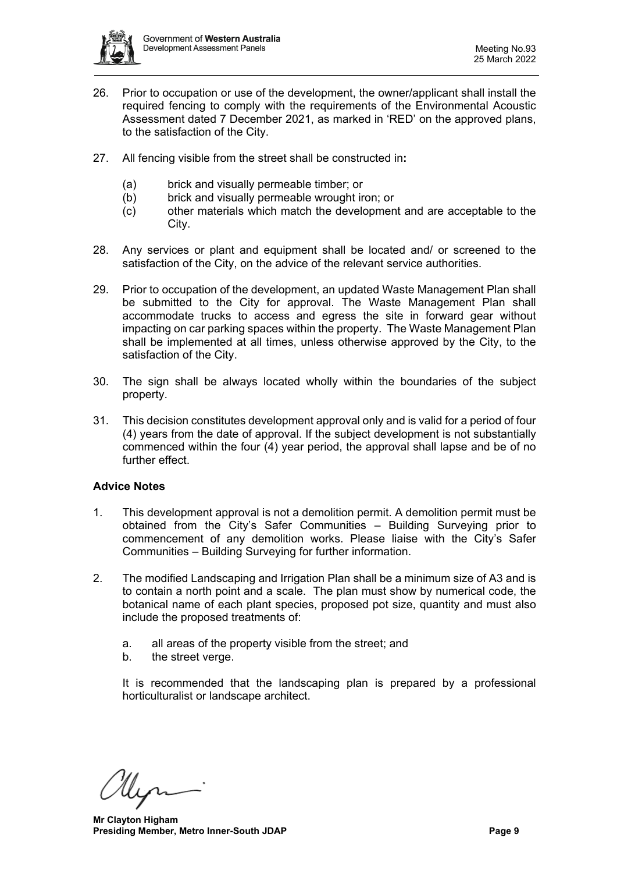

- 26. Prior to occupation or use of the development, the owner/applicant shall install the required fencing to comply with the requirements of the Environmental Acoustic Assessment dated 7 December 2021, as marked in 'RED' on the approved plans, to the satisfaction of the City.
- 27. All fencing visible from the street shall be constructed in**:**
	- (a) brick and visually permeable timber; or
	- (b) brick and visually permeable wrought iron; or
	- (c) other materials which match the development and are acceptable to the City.
- 28. Any services or plant and equipment shall be located and/ or screened to the satisfaction of the City, on the advice of the relevant service authorities.
- 29. Prior to occupation of the development, an updated Waste Management Plan shall be submitted to the City for approval. The Waste Management Plan shall accommodate trucks to access and egress the site in forward gear without impacting on car parking spaces within the property. The Waste Management Plan shall be implemented at all times, unless otherwise approved by the City, to the satisfaction of the City.
- 30. The sign shall be always located wholly within the boundaries of the subject property.
- 31. This decision constitutes development approval only and is valid for a period of four (4) years from the date of approval. If the subject development is not substantially commenced within the four (4) year period, the approval shall lapse and be of no further effect.

# **Advice Notes**

- 1. This development approval is not a demolition permit. A demolition permit must be obtained from the City's Safer Communities – Building Surveying prior to commencement of any demolition works. Please liaise with the City's Safer Communities – Building Surveying for further information.
- 2. The modified Landscaping and Irrigation Plan shall be a minimum size of A3 and is to contain a north point and a scale. The plan must show by numerical code, the botanical name of each plant species, proposed pot size, quantity and must also include the proposed treatments of:
	- a. all areas of the property visible from the street; and
	- b. the street verge.

It is recommended that the landscaping plan is prepared by a professional horticulturalist or landscape architect.

**Mr Clayton Higham Presiding Member, Metro Inner-South JDAP Page 9**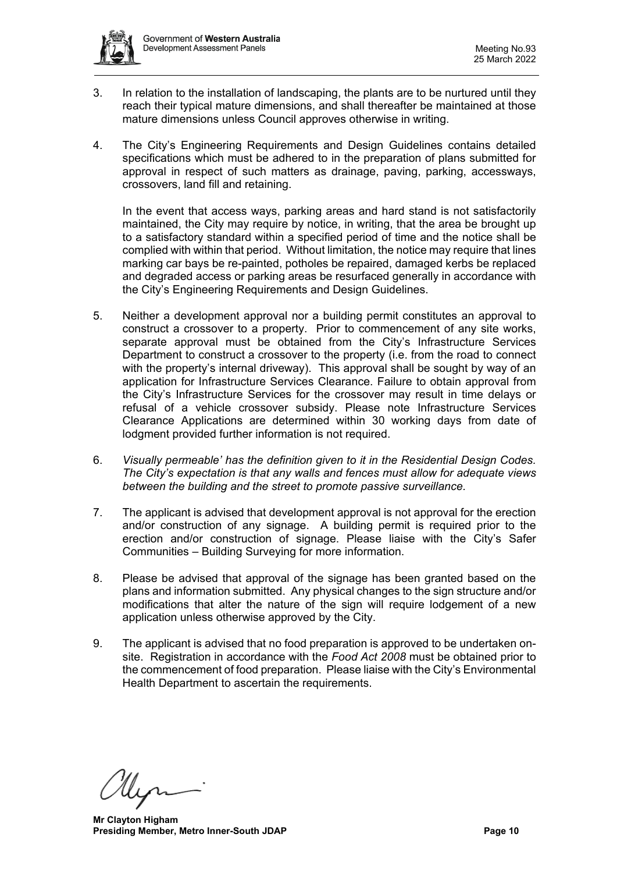- 3. In relation to the installation of landscaping, the plants are to be nurtured until they reach their typical mature dimensions, and shall thereafter be maintained at those mature dimensions unless Council approves otherwise in writing.
- 4. The City's Engineering Requirements and Design Guidelines contains detailed specifications which must be adhered to in the preparation of plans submitted for approval in respect of such matters as drainage, paving, parking, accessways, crossovers, land fill and retaining.

In the event that access ways, parking areas and hard stand is not satisfactorily maintained, the City may require by notice, in writing, that the area be brought up to a satisfactory standard within a specified period of time and the notice shall be complied with within that period. Without limitation, the notice may require that lines marking car bays be re-painted, potholes be repaired, damaged kerbs be replaced and degraded access or parking areas be resurfaced generally in accordance with the City's Engineering Requirements and Design Guidelines.

- 5. Neither a development approval nor a building permit constitutes an approval to construct a crossover to a property. Prior to commencement of any site works, separate approval must be obtained from the City's Infrastructure Services Department to construct a crossover to the property (i.e. from the road to connect with the property's internal driveway). This approval shall be sought by way of an application for Infrastructure Services Clearance. Failure to obtain approval from the City's Infrastructure Services for the crossover may result in time delays or refusal of a vehicle crossover subsidy. Please note Infrastructure Services Clearance Applications are determined within 30 working days from date of lodgment provided further information is not required.
- 6. *Visually permeable' has the definition given to it in the Residential Design Codes. The City's expectation is that any walls and fences must allow for adequate views between the building and the street to promote passive surveillance.*
- 7. The applicant is advised that development approval is not approval for the erection and/or construction of any signage. A building permit is required prior to the erection and/or construction of signage. Please liaise with the City's Safer Communities – Building Surveying for more information.
- 8. Please be advised that approval of the signage has been granted based on the plans and information submitted. Any physical changes to the sign structure and/or modifications that alter the nature of the sign will require lodgement of a new application unless otherwise approved by the City.
- 9. The applicant is advised that no food preparation is approved to be undertaken onsite. Registration in accordance with the *Food Act 2008* must be obtained prior to the commencement of food preparation. Please liaise with the City's Environmental Health Department to ascertain the requirements.

**Mr Clayton Higham Presiding Member, Metro Inner-South JDAP Page 10 Page 10**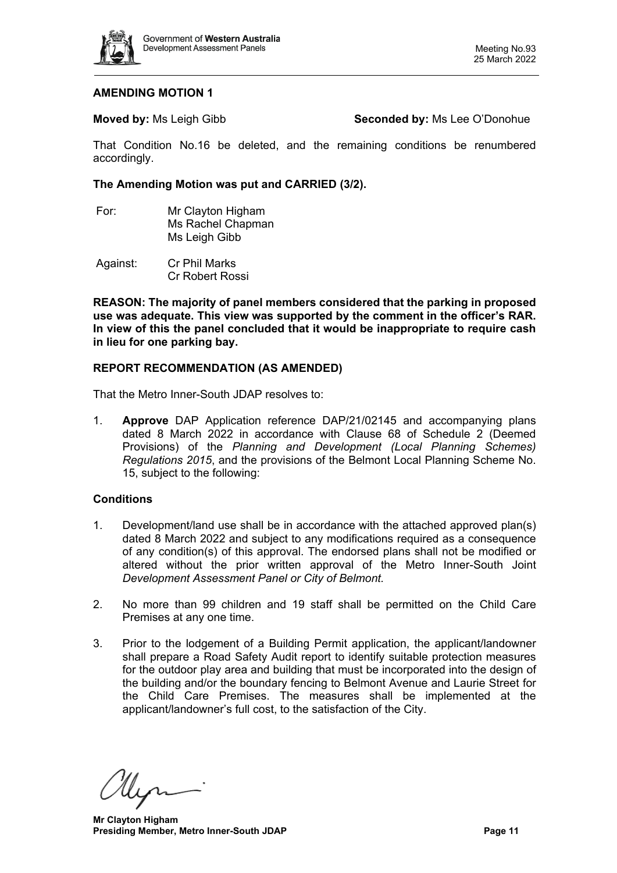

#### **AMENDING MOTION 1**

**Moved by:** Ms Leigh Gibb **Seconded by:** Ms Lee O'Donohue

That Condition No.16 be deleted, and the remaining conditions be renumbered accordingly.

#### **The Amending Motion was put and CARRIED (3/2).**

- For: Mr Clayton Higham Ms Rachel Chapman Ms Leigh Gibb
- Against: Cr Phil Marks Cr Robert Rossi

**REASON: The majority of panel members considered that the parking in proposed use was adequate. This view was supported by the comment in the officer's RAR. In view of this the panel concluded that it would be inappropriate to require cash in lieu for one parking bay.**

#### **REPORT RECOMMENDATION (AS AMENDED)**

That the Metro Inner-South JDAP resolves to:

1. **Approve** DAP Application reference DAP/21/02145 and accompanying plans dated 8 March 2022 in accordance with Clause 68 of Schedule 2 (Deemed Provisions) of the *Planning and Development (Local Planning Schemes) Regulations 2015*, and the provisions of the Belmont Local Planning Scheme No. 15, subject to the following:

#### **Conditions**

- 1. Development/land use shall be in accordance with the attached approved plan(s) dated 8 March 2022 and subject to any modifications required as a consequence of any condition(s) of this approval. The endorsed plans shall not be modified or altered without the prior written approval of the Metro Inner-South Joint *Development Assessment Panel or City of Belmont.*
- 2. No more than 99 children and 19 staff shall be permitted on the Child Care Premises at any one time.
- 3. Prior to the lodgement of a Building Permit application, the applicant/landowner shall prepare a Road Safety Audit report to identify suitable protection measures for the outdoor play area and building that must be incorporated into the design of the building and/or the boundary fencing to Belmont Avenue and Laurie Street for the Child Care Premises. The measures shall be implemented at the applicant/landowner's full cost, to the satisfaction of the City.

**Mr Clayton Higham Presiding Member, Metro Inner-South JDAP Page 11**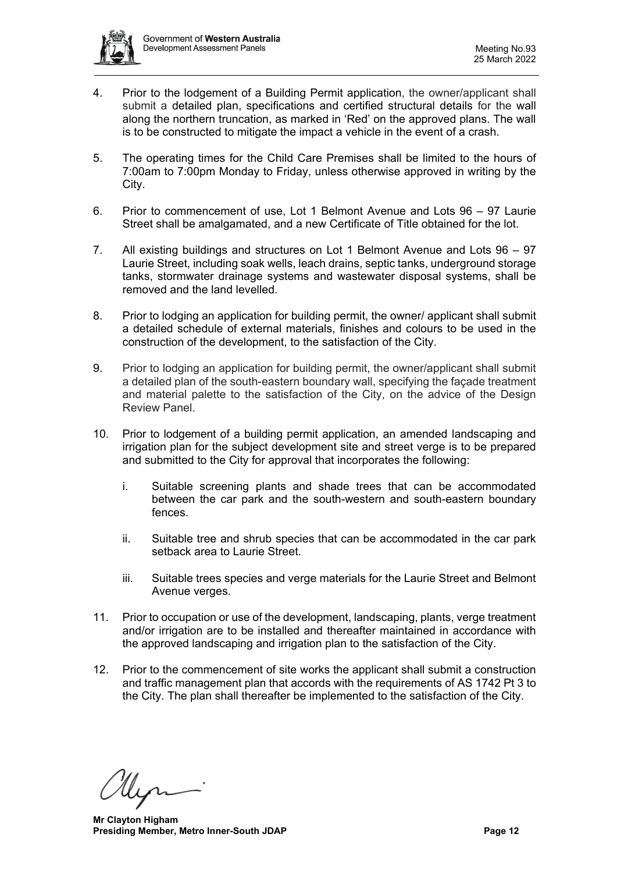

- 4. Prior to the lodgement of a Building Permit application, the owner/applicant shall submit a detailed plan, specifications and certified structural details for the wall along the northern truncation, as marked in 'Red' on the approved plans. The wall is to be constructed to mitigate the impact a vehicle in the event of a crash.
- 5. The operating times for the Child Care Premises shall be limited to the hours of 7:00am to 7:00pm Monday to Friday, unless otherwise approved in writing by the City.
- 6. Prior to commencement of use, Lot 1 Belmont Avenue and Lots 96 97 Laurie Street shall be amalgamated, and a new Certificate of Title obtained for the lot.
- 7. All existing buildings and structures on Lot 1 Belmont Avenue and Lots 96 97 Laurie Street, including soak wells, leach drains, septic tanks, underground storage tanks, stormwater drainage systems and wastewater disposal systems, shall be removed and the land levelled.
- 8. Prior to lodging an application for building permit, the owner/ applicant shall submit a detailed schedule of external materials, finishes and colours to be used in the construction of the development, to the satisfaction of the City.
- 9. Prior to lodging an application for building permit, the owner/applicant shall submit a detailed plan of the south-eastern boundary wall, specifying the façade treatment and material palette to the satisfaction of the City, on the advice of the Design Review Panel.
- 10. Prior to lodgement of a building permit application, an amended landscaping and irrigation plan for the subject development site and street verge is to be prepared and submitted to the City for approval that incorporates the following:
	- i. Suitable screening plants and shade trees that can be accommodated between the car park and the south-western and south-eastern boundary fences.
	- ii. Suitable tree and shrub species that can be accommodated in the car park setback area to Laurie Street.
	- iii. Suitable trees species and verge materials for the Laurie Street and Belmont Avenue verges.
- 11. Prior to occupation or use of the development, landscaping, plants, verge treatment and/or irrigation are to be installed and thereafter maintained in accordance with the approved landscaping and irrigation plan to the satisfaction of the City.
- 12. Prior to the commencement of site works the applicant shall submit a construction and traffic management plan that accords with the requirements of AS 1742 Pt 3 to the City. The plan shall thereafter be implemented to the satisfaction of the City.

**Mr Clayton Higham Presiding Member, Metro Inner-South JDAP Page 12 Page 12**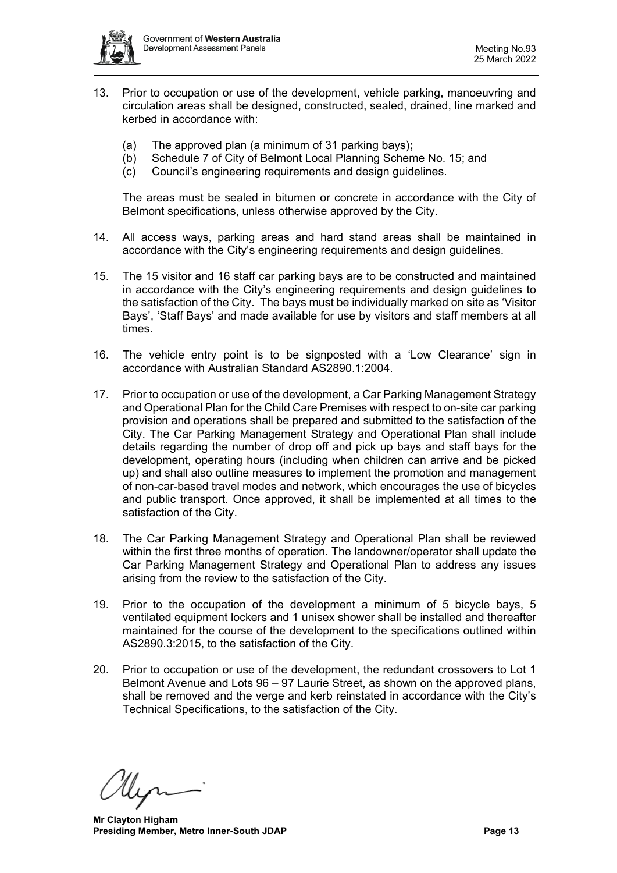

- 13. Prior to occupation or use of the development, vehicle parking, manoeuvring and circulation areas shall be designed, constructed, sealed, drained, line marked and kerbed in accordance with:
	- (a) The approved plan (a minimum of 31 parking bays)**;**
	- (b) Schedule 7 of City of Belmont Local Planning Scheme No. 15; and
	- (c) Council's engineering requirements and design guidelines.

The areas must be sealed in bitumen or concrete in accordance with the City of Belmont specifications, unless otherwise approved by the City.

- 14. All access ways, parking areas and hard stand areas shall be maintained in accordance with the City's engineering requirements and design guidelines.
- 15. The 15 visitor and 16 staff car parking bays are to be constructed and maintained in accordance with the City's engineering requirements and design guidelines to the satisfaction of the City. The bays must be individually marked on site as 'Visitor Bays', 'Staff Bays' and made available for use by visitors and staff members at all times.
- 16. The vehicle entry point is to be signposted with a 'Low Clearance' sign in accordance with Australian Standard AS2890.1:2004.
- 17. Prior to occupation or use of the development, a Car Parking Management Strategy and Operational Plan for the Child Care Premises with respect to on-site car parking provision and operations shall be prepared and submitted to the satisfaction of the City. The Car Parking Management Strategy and Operational Plan shall include details regarding the number of drop off and pick up bays and staff bays for the development, operating hours (including when children can arrive and be picked up) and shall also outline measures to implement the promotion and management of non-car-based travel modes and network, which encourages the use of bicycles and public transport. Once approved, it shall be implemented at all times to the satisfaction of the City.
- 18. The Car Parking Management Strategy and Operational Plan shall be reviewed within the first three months of operation. The landowner/operator shall update the Car Parking Management Strategy and Operational Plan to address any issues arising from the review to the satisfaction of the City.
- 19. Prior to the occupation of the development a minimum of 5 bicycle bays, 5 ventilated equipment lockers and 1 unisex shower shall be installed and thereafter maintained for the course of the development to the specifications outlined within AS2890.3:2015, to the satisfaction of the City.
- 20. Prior to occupation or use of the development, the redundant crossovers to Lot 1 Belmont Avenue and Lots 96 – 97 Laurie Street, as shown on the approved plans, shall be removed and the verge and kerb reinstated in accordance with the City's Technical Specifications, to the satisfaction of the City.

**Mr Clayton Higham Presiding Member, Metro Inner-South JDAP Page 13 Page 13**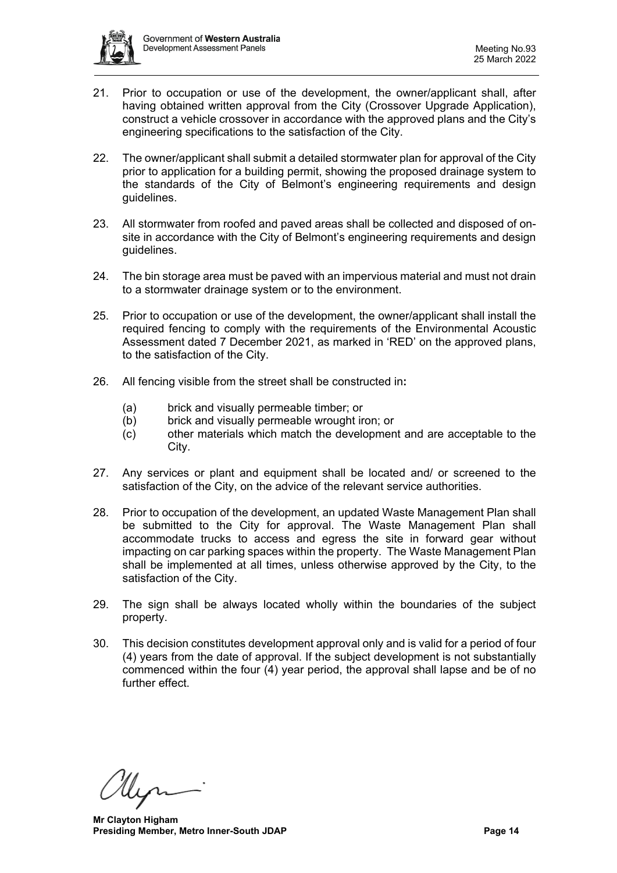

- 21. Prior to occupation or use of the development, the owner/applicant shall, after having obtained written approval from the City (Crossover Upgrade Application), construct a vehicle crossover in accordance with the approved plans and the City's engineering specifications to the satisfaction of the City.
- 22. The owner/applicant shall submit a detailed stormwater plan for approval of the City prior to application for a building permit, showing the proposed drainage system to the standards of the City of Belmont's engineering requirements and design guidelines.
- 23. All stormwater from roofed and paved areas shall be collected and disposed of onsite in accordance with the City of Belmont's engineering requirements and design guidelines.
- 24. The bin storage area must be paved with an impervious material and must not drain to a stormwater drainage system or to the environment.
- 25. Prior to occupation or use of the development, the owner/applicant shall install the required fencing to comply with the requirements of the Environmental Acoustic Assessment dated 7 December 2021, as marked in 'RED' on the approved plans, to the satisfaction of the City.
- 26. All fencing visible from the street shall be constructed in**:**
	- (a) brick and visually permeable timber; or
	- (b) brick and visually permeable wrought iron; or
	- (c) other materials which match the development and are acceptable to the City.
- 27. Any services or plant and equipment shall be located and/ or screened to the satisfaction of the City, on the advice of the relevant service authorities.
- 28. Prior to occupation of the development, an updated Waste Management Plan shall be submitted to the City for approval. The Waste Management Plan shall accommodate trucks to access and egress the site in forward gear without impacting on car parking spaces within the property. The Waste Management Plan shall be implemented at all times, unless otherwise approved by the City, to the satisfaction of the City.
- 29. The sign shall be always located wholly within the boundaries of the subject property.
- 30. This decision constitutes development approval only and is valid for a period of four (4) years from the date of approval. If the subject development is not substantially commenced within the four (4) year period, the approval shall lapse and be of no further effect.

**Mr Clayton Higham Presiding Member, Metro Inner-South JDAP Page 14 Page 14**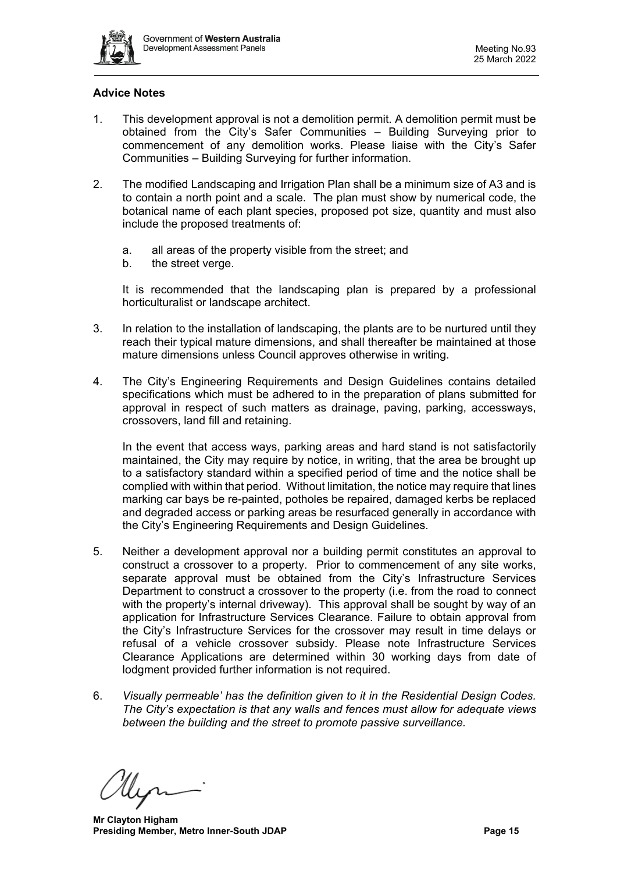

# **Advice Notes**

- 1. This development approval is not a demolition permit. A demolition permit must be obtained from the City's Safer Communities – Building Surveying prior to commencement of any demolition works. Please liaise with the City's Safer Communities – Building Surveying for further information.
- 2. The modified Landscaping and Irrigation Plan shall be a minimum size of A3 and is to contain a north point and a scale. The plan must show by numerical code, the botanical name of each plant species, proposed pot size, quantity and must also include the proposed treatments of:
	- a. all areas of the property visible from the street; and
	- b. the street verge.

It is recommended that the landscaping plan is prepared by a professional horticulturalist or landscape architect.

- 3. In relation to the installation of landscaping, the plants are to be nurtured until they reach their typical mature dimensions, and shall thereafter be maintained at those mature dimensions unless Council approves otherwise in writing.
- 4. The City's Engineering Requirements and Design Guidelines contains detailed specifications which must be adhered to in the preparation of plans submitted for approval in respect of such matters as drainage, paving, parking, accessways, crossovers, land fill and retaining.

In the event that access ways, parking areas and hard stand is not satisfactorily maintained, the City may require by notice, in writing, that the area be brought up to a satisfactory standard within a specified period of time and the notice shall be complied with within that period. Without limitation, the notice may require that lines marking car bays be re-painted, potholes be repaired, damaged kerbs be replaced and degraded access or parking areas be resurfaced generally in accordance with the City's Engineering Requirements and Design Guidelines.

- 5. Neither a development approval nor a building permit constitutes an approval to construct a crossover to a property. Prior to commencement of any site works, separate approval must be obtained from the City's Infrastructure Services Department to construct a crossover to the property (i.e. from the road to connect with the property's internal driveway). This approval shall be sought by way of an application for Infrastructure Services Clearance. Failure to obtain approval from the City's Infrastructure Services for the crossover may result in time delays or refusal of a vehicle crossover subsidy. Please note Infrastructure Services Clearance Applications are determined within 30 working days from date of lodgment provided further information is not required.
- 6. *Visually permeable' has the definition given to it in the Residential Design Codes. The City's expectation is that any walls and fences must allow for adequate views between the building and the street to promote passive surveillance.*

**Mr Clayton Higham Presiding Member, Metro Inner-South JDAP Page 15 Page 15**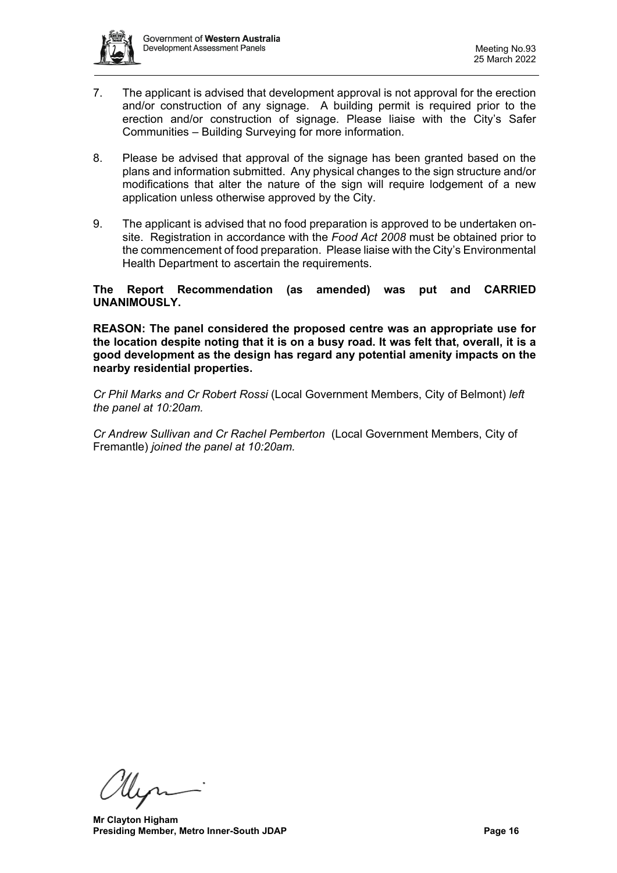

- 7. The applicant is advised that development approval is not approval for the erection and/or construction of any signage. A building permit is required prior to the erection and/or construction of signage. Please liaise with the City's Safer Communities – Building Surveying for more information.
- 8. Please be advised that approval of the signage has been granted based on the plans and information submitted. Any physical changes to the sign structure and/or modifications that alter the nature of the sign will require lodgement of a new application unless otherwise approved by the City.
- 9. The applicant is advised that no food preparation is approved to be undertaken onsite. Registration in accordance with the *Food Act 2008* must be obtained prior to the commencement of food preparation. Please liaise with the City's Environmental Health Department to ascertain the requirements.

#### **The Report Recommendation (as amended) was put and CARRIED UNANIMOUSLY.**

**REASON: The panel considered the proposed centre was an appropriate use for the location despite noting that it is on a busy road. It was felt that, overall, it is a good development as the design has regard any potential amenity impacts on the nearby residential properties.** 

*Cr Phil Marks and Cr Robert Rossi* (Local Government Members, City of Belmont) *left the panel at 10:20am.*

*Cr Andrew Sullivan and Cr Rachel Pemberton* (Local Government Members, City of Fremantle) *joined the panel at 10:20am.*

**Mr Clayton Higham Presiding Member, Metro Inner-South JDAP Page 16 Page 16**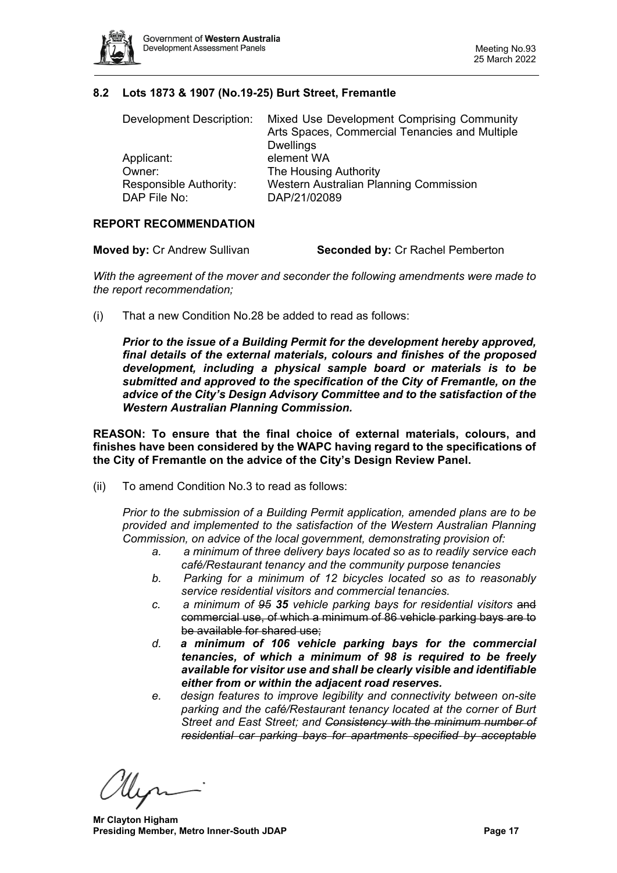

#### <span id="page-16-0"></span>**8.2 Lots 1873 & 1907 (No.19-25) Burt Street, Fremantle**

| Development Description:               | Mixed Use Development Comprising Community<br>Arts Spaces, Commercial Tenancies and Multiple<br><b>Dwellings</b> |
|----------------------------------------|------------------------------------------------------------------------------------------------------------------|
| Applicant:                             | element WA                                                                                                       |
| Owner:                                 | The Housing Authority                                                                                            |
| Responsible Authority:<br>DAP File No: | Western Australian Planning Commission<br>DAP/21/02089                                                           |

#### **REPORT RECOMMENDATION**

*With the agreement of the mover and seconder the following amendments were made to the report recommendation;*

(i) That a new Condition No.28 be added to read as follows:

*Prior to the issue of a Building Permit for the development hereby approved, final details of the external materials, colours and finishes of the proposed development, including a physical sample board or materials is to be submitted and approved to the specification of the City of Fremantle, on the advice of the City's Design Advisory Committee and to the satisfaction of the Western Australian Planning Commission.*

**REASON: To ensure that the final choice of external materials, colours, and finishes have been considered by the WAPC having regard to the specifications of the City of Fremantle on the advice of the City's Design Review Panel.**

(ii) To amend Condition No.3 to read as follows:

*Prior to the submission of a Building Permit application, amended plans are to be provided and implemented to the satisfaction of the Western Australian Planning Commission, on advice of the local government, demonstrating provision of:*

- *a. a minimum of three delivery bays located so as to readily service each café/Restaurant tenancy and the community purpose tenancies*
- *b. Parking for a minimum of 12 bicycles located so as to reasonably service residential visitors and commercial tenancies.*
- *c. a minimum of 95 35 vehicle parking bays for residential visitors* and commercial use, of which a minimum of 86 vehicle parking bays are to be available for shared use;
- *d. a minimum of 106 vehicle parking bays for the commercial tenancies, of which a minimum of 98 is required to be freely available for visitor use and shall be clearly visible and identifiable either from or within the adjacent road reserves.*
- *e. design features to improve legibility and connectivity between on-site parking and the café/Restaurant tenancy located at the corner of Burt Street and East Street; and Consistency with the minimum number of residential car parking bays for apartments specified by acceptable*

**Mr Clayton Higham Presiding Member, Metro Inner-South JDAP Page 17 Page 17**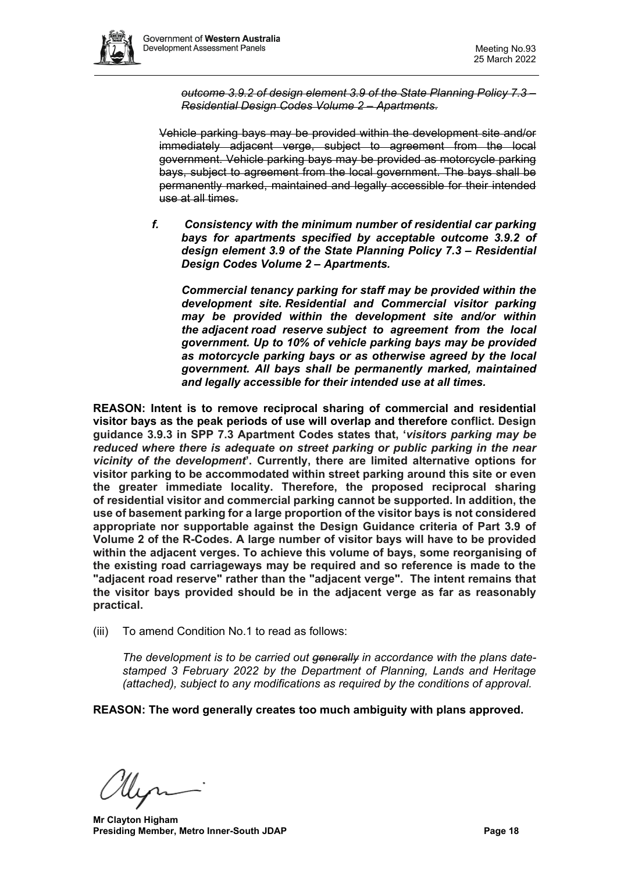

*outcome 3.9.2 of design element 3.9 of the State Planning Policy 7.3 – Residential Design Codes Volume 2 – Apartments.*

Vehicle parking bays may be provided within the development site and/or immediately adjacent verge, subject to agreement from the local government. Vehicle parking bays may be provided as motorcycle parking bays, subject to agreement from the local government. The bays shall be permanently marked, maintained and legally accessible for their intended use at all times.

*f. Consistency with the minimum number of residential car parking bays for apartments specified by acceptable outcome 3.9.2 of design element 3.9 of the State Planning Policy 7.3 – Residential Design Codes Volume 2 – Apartments.*

*Commercial tenancy parking for staff may be provided within the development site. Residential and Commercial visitor parking may be provided within the development site and/or within the adjacent road reserve subject to agreement from the local government. Up to 10% of vehicle parking bays may be provided as motorcycle parking bays or as otherwise agreed by the local government. All bays shall be permanently marked, maintained and legally accessible for their intended use at all times.*

**REASON: Intent is to remove reciprocal sharing of commercial and residential visitor bays as the peak periods of use will overlap and therefore conflict. Design guidance 3.9.3 in SPP 7.3 Apartment Codes states that, '***visitors parking may be reduced where there is adequate on street parking or public parking in the near vicinity of the development***'. Currently, there are limited alternative options for visitor parking to be accommodated within street parking around this site or even the greater immediate locality. Therefore, the proposed reciprocal sharing of residential visitor and commercial parking cannot be supported. In addition, the use of basement parking for a large proportion of the visitor bays is not considered appropriate nor supportable against the Design Guidance criteria of Part 3.9 of Volume 2 of the R-Codes. A large number of visitor bays will have to be provided within the adjacent verges. To achieve this volume of bays, some reorganising of the existing road carriageways may be required and so reference is made to the "adjacent road reserve" rather than the "adjacent verge". The intent remains that the visitor bays provided should be in the adjacent verge as far as reasonably practical.**

(iii) To amend Condition No.1 to read as follows:

*The development is to be carried out generally in accordance with the plans datestamped 3 February 2022 by the Department of Planning, Lands and Heritage (attached), subject to any modifications as required by the conditions of approval.* 

**REASON: The word generally creates too much ambiguity with plans approved.**

**Mr Clayton Higham Presiding Member, Metro Inner-South JDAP Page 18 Page 18**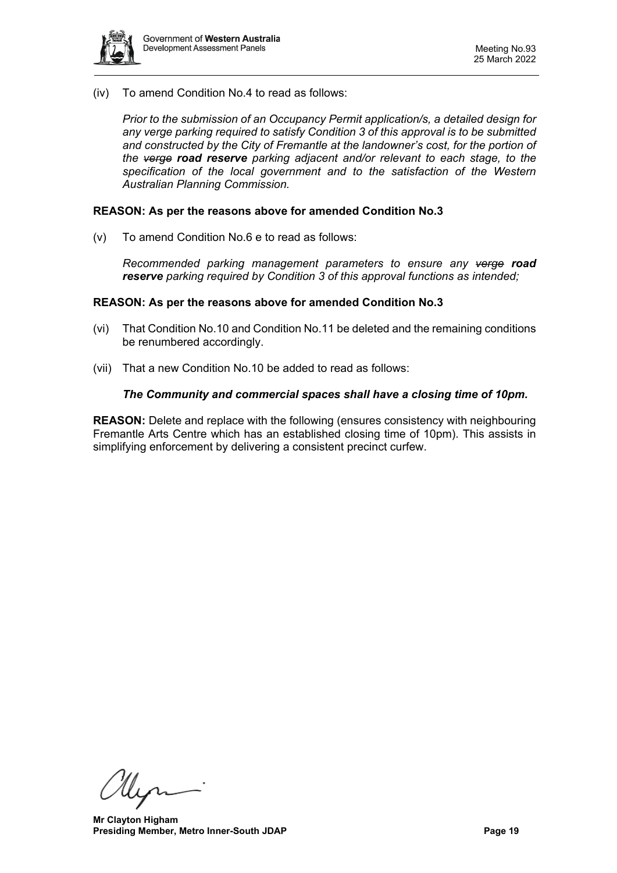

(iv) To amend Condition No.4 to read as follows:

*Prior to the submission of an Occupancy Permit application/s, a detailed design for any verge parking required to satisfy Condition 3 of this approval is to be submitted and constructed by the City of Fremantle at the landowner's cost, for the portion of the verge road reserve parking adjacent and/or relevant to each stage, to the specification of the local government and to the satisfaction of the Western Australian Planning Commission.* 

#### **REASON: As per the reasons above for amended Condition No.3**

(v) To amend Condition No.6 e to read as follows:

*Recommended parking management parameters to ensure any verge road reserve parking required by Condition 3 of this approval functions as intended;*

#### **REASON: As per the reasons above for amended Condition No.3**

- (vi) That Condition No.10 and Condition No.11 be deleted and the remaining conditions be renumbered accordingly.
- (vii) That a new Condition No.10 be added to read as follows:

#### *The Community and commercial spaces shall have a closing time of 10pm.*

**REASON:** Delete and replace with the following (ensures consistency with neighbouring Fremantle Arts Centre which has an established closing time of 10pm). This assists in simplifying enforcement by delivering a consistent precinct curfew.

llin

**Mr Clayton Higham Presiding Member, Metro Inner-South JDAP Page 19 Page 19**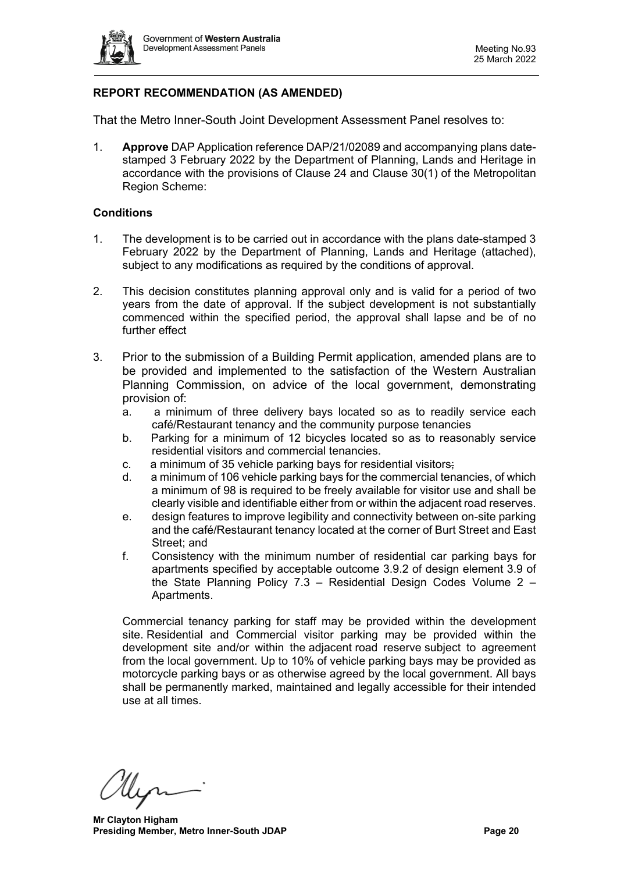

# **REPORT RECOMMENDATION (AS AMENDED)**

That the Metro Inner-South Joint Development Assessment Panel resolves to:

1. **Approve** DAP Application reference DAP/21/02089 and accompanying plans datestamped 3 February 2022 by the Department of Planning, Lands and Heritage in accordance with the provisions of Clause 24 and Clause 30(1) of the Metropolitan Region Scheme:

#### **Conditions**

- 1. The development is to be carried out in accordance with the plans date-stamped 3 February 2022 by the Department of Planning, Lands and Heritage (attached), subject to any modifications as required by the conditions of approval.
- 2. This decision constitutes planning approval only and is valid for a period of two years from the date of approval. If the subject development is not substantially commenced within the specified period, the approval shall lapse and be of no further effect
- 3. Prior to the submission of a Building Permit application, amended plans are to be provided and implemented to the satisfaction of the Western Australian Planning Commission, on advice of the local government, demonstrating provision of:
	- a. a minimum of three delivery bays located so as to readily service each café/Restaurant tenancy and the community purpose tenancies
	- b. Parking for a minimum of 12 bicycles located so as to reasonably service residential visitors and commercial tenancies.
	- c. a minimum of 35 vehicle parking bays for residential visitors;
	- d. a minimum of 106 vehicle parking bays for the commercial tenancies, of which a minimum of 98 is required to be freely available for visitor use and shall be clearly visible and identifiable either from or within the adjacent road reserves.
	- e. design features to improve legibility and connectivity between on-site parking and the café/Restaurant tenancy located at the corner of Burt Street and East Street; and
	- f. Consistency with the minimum number of residential car parking bays for apartments specified by acceptable outcome 3.9.2 of design element 3.9 of the State Planning Policy 7.3 – Residential Design Codes Volume 2 – Apartments.

Commercial tenancy parking for staff may be provided within the development site. Residential and Commercial visitor parking may be provided within the development site and/or within the adjacent road reserve subject to agreement from the local government. Up to 10% of vehicle parking bays may be provided as motorcycle parking bays or as otherwise agreed by the local government. All bays shall be permanently marked, maintained and legally accessible for their intended use at all times.

**Mr Clayton Higham Presiding Member, Metro Inner-South JDAP Page 20 Page 20**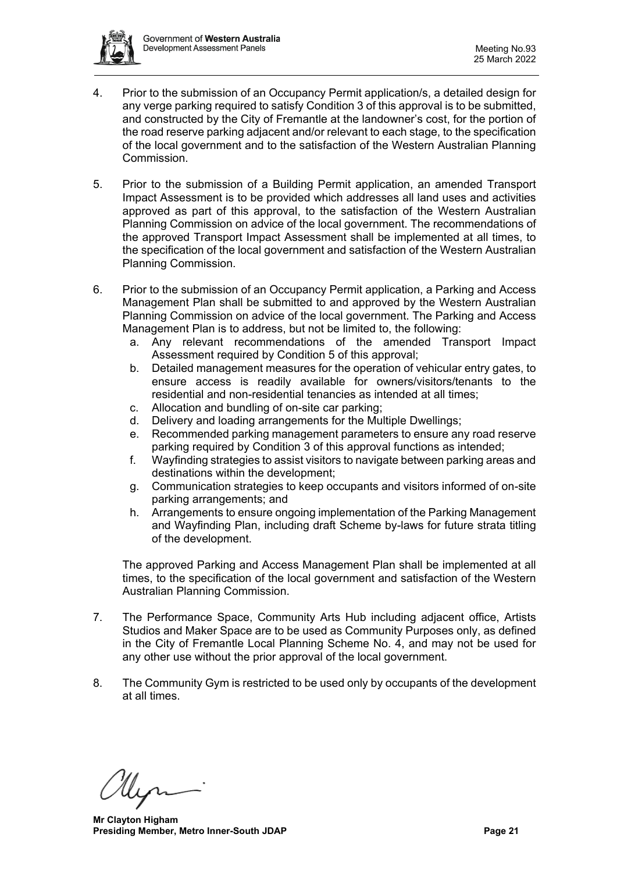

- 4. Prior to the submission of an Occupancy Permit application/s, a detailed design for any verge parking required to satisfy Condition 3 of this approval is to be submitted, and constructed by the City of Fremantle at the landowner's cost, for the portion of the road reserve parking adjacent and/or relevant to each stage, to the specification of the local government and to the satisfaction of the Western Australian Planning Commission.
- 5. Prior to the submission of a Building Permit application, an amended Transport Impact Assessment is to be provided which addresses all land uses and activities approved as part of this approval, to the satisfaction of the Western Australian Planning Commission on advice of the local government. The recommendations of the approved Transport Impact Assessment shall be implemented at all times, to the specification of the local government and satisfaction of the Western Australian Planning Commission.
- 6. Prior to the submission of an Occupancy Permit application, a Parking and Access Management Plan shall be submitted to and approved by the Western Australian Planning Commission on advice of the local government. The Parking and Access Management Plan is to address, but not be limited to, the following:
	- a. Any relevant recommendations of the amended Transport Impact Assessment required by Condition 5 of this approval;
	- b. Detailed management measures for the operation of vehicular entry gates, to ensure access is readily available for owners/visitors/tenants to the residential and non-residential tenancies as intended at all times;
	- c. Allocation and bundling of on-site car parking;
	- d. Delivery and loading arrangements for the Multiple Dwellings;
	- e. Recommended parking management parameters to ensure any road reserve parking required by Condition 3 of this approval functions as intended;
	- f. Wayfinding strategies to assist visitors to navigate between parking areas and destinations within the development;
	- g. Communication strategies to keep occupants and visitors informed of on-site parking arrangements; and
	- h. Arrangements to ensure ongoing implementation of the Parking Management and Wayfinding Plan, including draft Scheme by-laws for future strata titling of the development.

The approved Parking and Access Management Plan shall be implemented at all times, to the specification of the local government and satisfaction of the Western Australian Planning Commission.

- 7. The Performance Space, Community Arts Hub including adjacent office, Artists Studios and Maker Space are to be used as Community Purposes only, as defined in the City of Fremantle Local Planning Scheme No. 4, and may not be used for any other use without the prior approval of the local government.
- 8. The Community Gym is restricted to be used only by occupants of the development at all times.

**Mr Clayton Higham Presiding Member, Metro Inner-South JDAP Page 21 Page 21**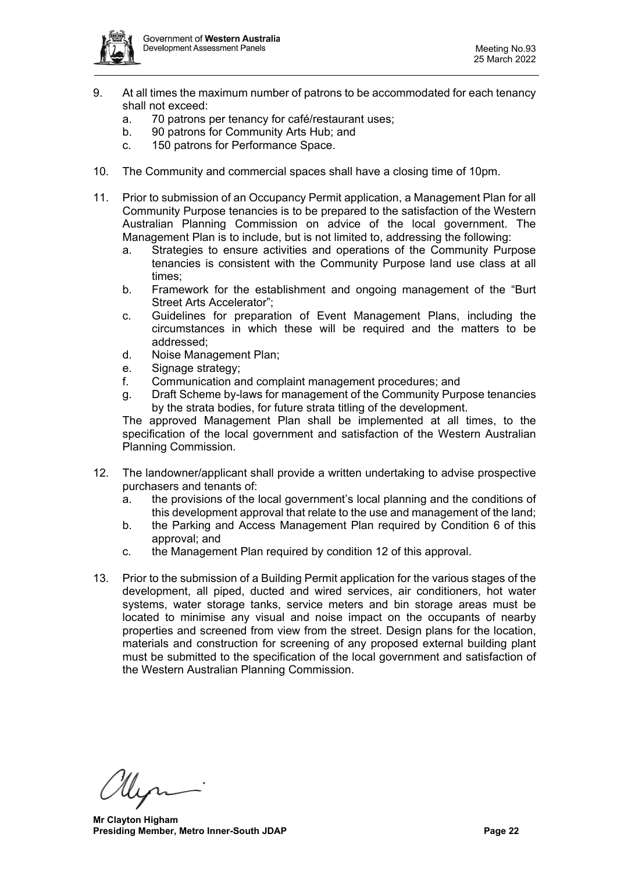

- 9. At all times the maximum number of patrons to be accommodated for each tenancy shall not exceed:
	- a. 70 patrons per tenancy for café/restaurant uses;
	- b. 90 patrons for Community Arts Hub; and
	- c. 150 patrons for Performance Space.
- 10. The Community and commercial spaces shall have a closing time of 10pm.
- 11. Prior to submission of an Occupancy Permit application, a Management Plan for all Community Purpose tenancies is to be prepared to the satisfaction of the Western Australian Planning Commission on advice of the local government. The Management Plan is to include, but is not limited to, addressing the following:
	- a. Strategies to ensure activities and operations of the Community Purpose tenancies is consistent with the Community Purpose land use class at all times;
	- b. Framework for the establishment and ongoing management of the "Burt Street Arts Accelerator";
	- c. Guidelines for preparation of Event Management Plans, including the circumstances in which these will be required and the matters to be addressed;
	- d. Noise Management Plan;
	- e. Signage strategy;
	- f. Communication and complaint management procedures; and
	- g. Draft Scheme by-laws for management of the Community Purpose tenancies by the strata bodies, for future strata titling of the development.

The approved Management Plan shall be implemented at all times, to the specification of the local government and satisfaction of the Western Australian Planning Commission.

- 12. The landowner/applicant shall provide a written undertaking to advise prospective purchasers and tenants of:
	- a. the provisions of the local government's local planning and the conditions of this development approval that relate to the use and management of the land;
	- b. the Parking and Access Management Plan required by Condition 6 of this approval; and
	- c. the Management Plan required by condition 12 of this approval.
- 13. Prior to the submission of a Building Permit application for the various stages of the development, all piped, ducted and wired services, air conditioners, hot water systems, water storage tanks, service meters and bin storage areas must be located to minimise any visual and noise impact on the occupants of nearby properties and screened from view from the street. Design plans for the location, materials and construction for screening of any proposed external building plant must be submitted to the specification of the local government and satisfaction of the Western Australian Planning Commission.

**Mr Clayton Higham Presiding Member, Metro Inner-South JDAP Page 22 Page 22**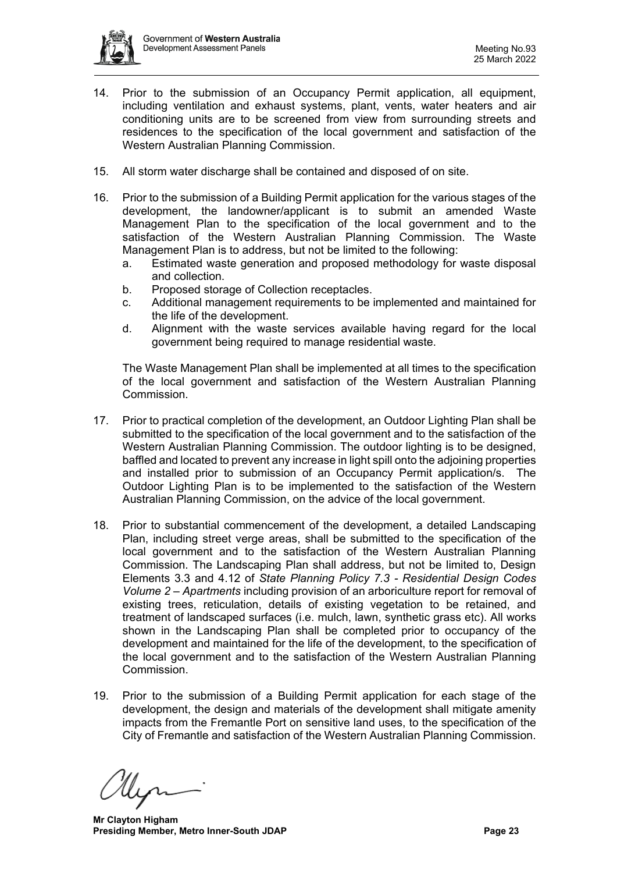

- 14. Prior to the submission of an Occupancy Permit application, all equipment, including ventilation and exhaust systems, plant, vents, water heaters and air conditioning units are to be screened from view from surrounding streets and residences to the specification of the local government and satisfaction of the Western Australian Planning Commission.
- 15. All storm water discharge shall be contained and disposed of on site.
- 16. Prior to the submission of a Building Permit application for the various stages of the development, the landowner/applicant is to submit an amended Waste Management Plan to the specification of the local government and to the satisfaction of the Western Australian Planning Commission. The Waste Management Plan is to address, but not be limited to the following:
	- a. Estimated waste generation and proposed methodology for waste disposal and collection.
	- b. Proposed storage of Collection receptacles.
	- c. Additional management requirements to be implemented and maintained for the life of the development.
	- d. Alignment with the waste services available having regard for the local government being required to manage residential waste.

The Waste Management Plan shall be implemented at all times to the specification of the local government and satisfaction of the Western Australian Planning Commission.

- 17. Prior to practical completion of the development, an Outdoor Lighting Plan shall be submitted to the specification of the local government and to the satisfaction of the Western Australian Planning Commission. The outdoor lighting is to be designed, baffled and located to prevent any increase in light spill onto the adjoining properties and installed prior to submission of an Occupancy Permit application/s. The Outdoor Lighting Plan is to be implemented to the satisfaction of the Western Australian Planning Commission, on the advice of the local government.
- 18. Prior to substantial commencement of the development, a detailed Landscaping Plan, including street verge areas, shall be submitted to the specification of the local government and to the satisfaction of the Western Australian Planning Commission. The Landscaping Plan shall address, but not be limited to, Design Elements 3.3 and 4.12 of *State Planning Policy 7.3 - Residential Design Codes Volume 2 – Apartments* including provision of an arboriculture report for removal of existing trees, reticulation, details of existing vegetation to be retained, and treatment of landscaped surfaces (i.e. mulch, lawn, synthetic grass etc). All works shown in the Landscaping Plan shall be completed prior to occupancy of the development and maintained for the life of the development, to the specification of the local government and to the satisfaction of the Western Australian Planning Commission.
- 19. Prior to the submission of a Building Permit application for each stage of the development, the design and materials of the development shall mitigate amenity impacts from the Fremantle Port on sensitive land uses, to the specification of the City of Fremantle and satisfaction of the Western Australian Planning Commission.

**Mr Clayton Higham Presiding Member, Metro Inner-South JDAP Page 23 Page 23**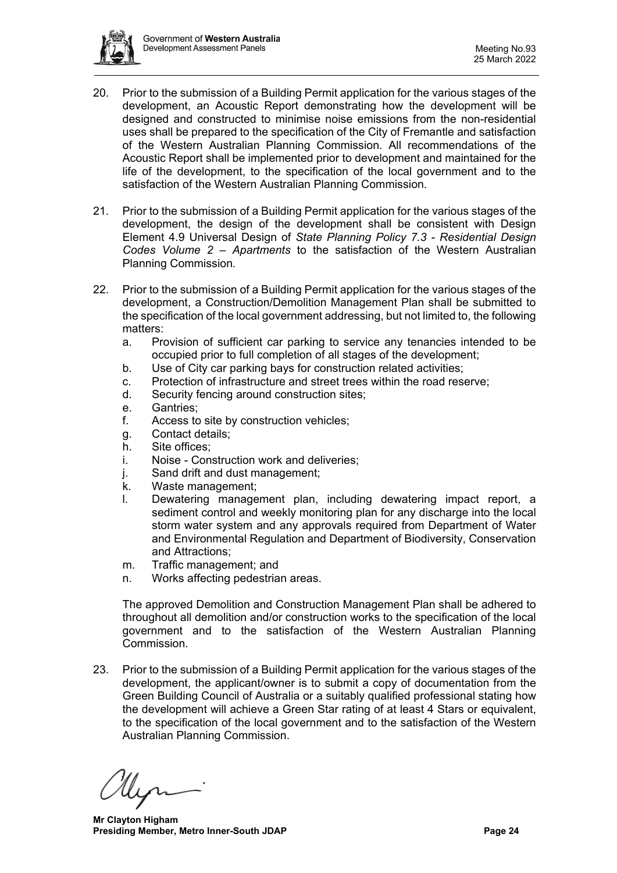

- 20. Prior to the submission of a Building Permit application for the various stages of the development, an Acoustic Report demonstrating how the development will be designed and constructed to minimise noise emissions from the non-residential uses shall be prepared to the specification of the City of Fremantle and satisfaction of the Western Australian Planning Commission. All recommendations of the Acoustic Report shall be implemented prior to development and maintained for the life of the development, to the specification of the local government and to the satisfaction of the Western Australian Planning Commission.
- 21. Prior to the submission of a Building Permit application for the various stages of the development, the design of the development shall be consistent with Design Element 4.9 Universal Design of *State Planning Policy 7.3 - Residential Design Codes Volume 2 – Apartments* to the satisfaction of the Western Australian Planning Commission*.*
- 22. Prior to the submission of a Building Permit application for the various stages of the development, a Construction/Demolition Management Plan shall be submitted to the specification of the local government addressing, but not limited to, the following matters:
	- a. Provision of sufficient car parking to service any tenancies intended to be occupied prior to full completion of all stages of the development;
	- b. Use of City car parking bays for construction related activities;
	- c. Protection of infrastructure and street trees within the road reserve;<br>d. Security fencing around construction sites:
	- Security fencing around construction sites;
	- e. Gantries;
	- f. Access to site by construction vehicles;
	- g. Contact details;
	- h. Site offices;
	- i. Noise Construction work and deliveries;
	- j. Sand drift and dust management;
	- k. Waste management;
	- l. Dewatering management plan, including dewatering impact report, a sediment control and weekly monitoring plan for any discharge into the local storm water system and any approvals required from Department of Water and Environmental Regulation and Department of Biodiversity, Conservation and Attractions;
	- m. Traffic management; and
	- n. Works affecting pedestrian areas.

The approved Demolition and Construction Management Plan shall be adhered to throughout all demolition and/or construction works to the specification of the local government and to the satisfaction of the Western Australian Planning Commission.

23. Prior to the submission of a Building Permit application for the various stages of the development, the applicant/owner is to submit a copy of documentation from the Green Building Council of Australia or a suitably qualified professional stating how the development will achieve a Green Star rating of at least 4 Stars or equivalent, to the specification of the local government and to the satisfaction of the Western Australian Planning Commission.

**Mr Clayton Higham Presiding Member, Metro Inner-South JDAP Page 24 Page 24**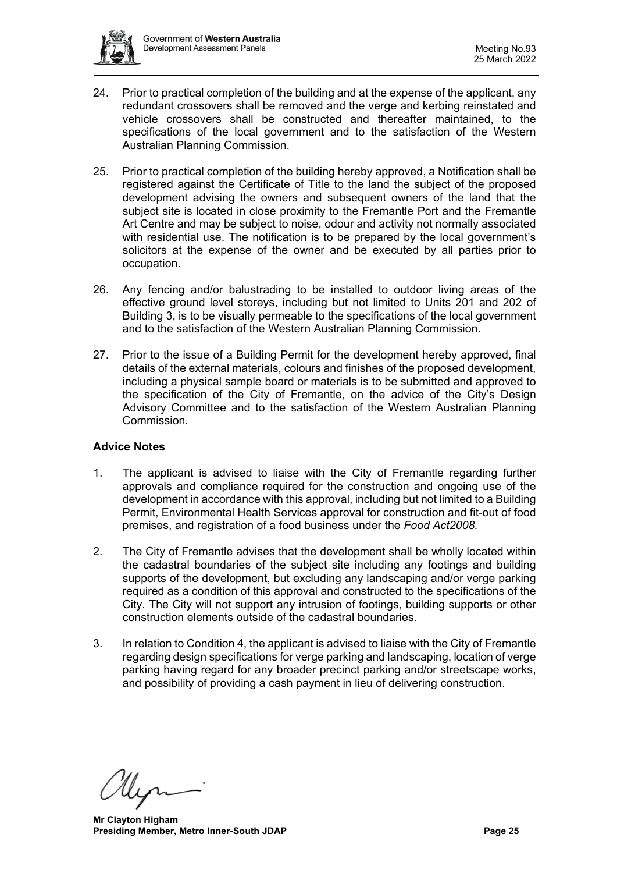

- 24. Prior to practical completion of the building and at the expense of the applicant, any redundant crossovers shall be removed and the verge and kerbing reinstated and vehicle crossovers shall be constructed and thereafter maintained, to the specifications of the local government and to the satisfaction of the Western Australian Planning Commission.
- 25. Prior to practical completion of the building hereby approved, a Notification shall be registered against the Certificate of Title to the land the subject of the proposed development advising the owners and subsequent owners of the land that the subject site is located in close proximity to the Fremantle Port and the Fremantle Art Centre and may be subject to noise, odour and activity not normally associated with residential use. The notification is to be prepared by the local government's solicitors at the expense of the owner and be executed by all parties prior to occupation.
- 26. Any fencing and/or balustrading to be installed to outdoor living areas of the effective ground level storeys, including but not limited to Units 201 and 202 of Building 3, is to be visually permeable to the specifications of the local government and to the satisfaction of the Western Australian Planning Commission.
- 27. Prior to the issue of a Building Permit for the development hereby approved, final details of the external materials, colours and finishes of the proposed development, including a physical sample board or materials is to be submitted and approved to the specification of the City of Fremantle, on the advice of the City's Design Advisory Committee and to the satisfaction of the Western Australian Planning Commission.

# **Advice Notes**

- 1. The applicant is advised to liaise with the City of Fremantle regarding further approvals and compliance required for the construction and ongoing use of the development in accordance with this approval, including but not limited to a Building Permit, Environmental Health Services approval for construction and fit-out of food premises, and registration of a food business under the *Food Act2008.*
- 2. The City of Fremantle advises that the development shall be wholly located within the cadastral boundaries of the subject site including any footings and building supports of the development, but excluding any landscaping and/or verge parking required as a condition of this approval and constructed to the specifications of the City. The City will not support any intrusion of footings, building supports or other construction elements outside of the cadastral boundaries.
- 3. In relation to Condition 4, the applicant is advised to liaise with the City of Fremantle regarding design specifications for verge parking and landscaping, location of verge parking having regard for any broader precinct parking and/or streetscape works, and possibility of providing a cash payment in lieu of delivering construction.

**Mr Clayton Higham Presiding Member, Metro Inner-South JDAP Page 25 Page 25**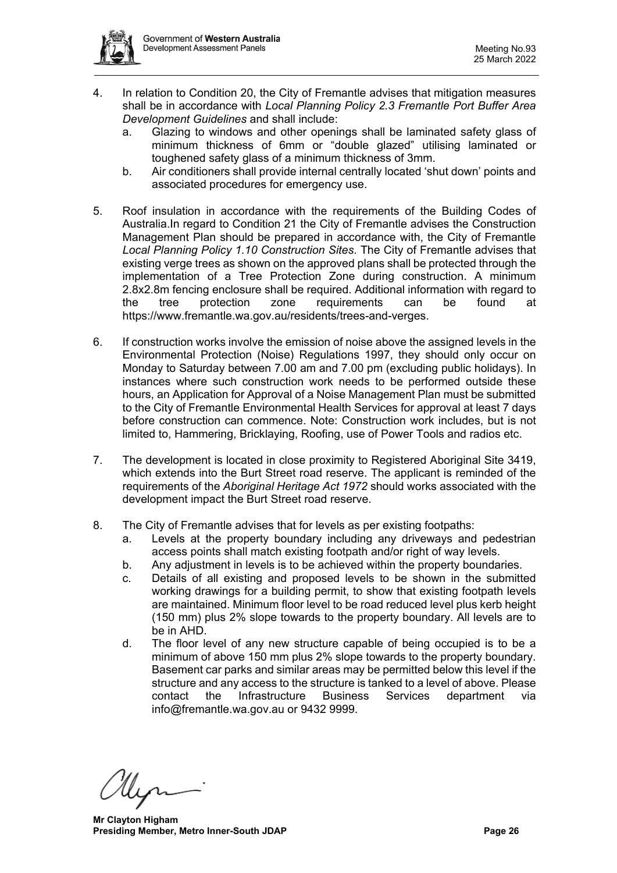

- 4. In relation to Condition 20, the City of Fremantle advises that mitigation measures shall be in accordance with *Local Planning Policy 2.3 Fremantle Port Buffer Area Development Guidelines* and shall include:
	- a. Glazing to windows and other openings shall be laminated safety glass of minimum thickness of 6mm or "double glazed" utilising laminated or toughened safety glass of a minimum thickness of 3mm.
	- b. Air conditioners shall provide internal centrally located 'shut down' points and associated procedures for emergency use.
- 5. Roof insulation in accordance with the requirements of the Building Codes of Australia.In regard to Condition 21 the City of Fremantle advises the Construction Management Plan should be prepared in accordance with, the City of Fremantle *Local Planning Policy 1.10 Construction Sites*. The City of Fremantle advises that existing verge trees as shown on the approved plans shall be protected through the implementation of a Tree Protection Zone during construction. A minimum 2.8x2.8m fencing enclosure shall be required. Additional information with regard to the tree protection zone requirements can be found at https://www.fremantle.wa.gov.au/residents/trees-and-verges.
- 6. If construction works involve the emission of noise above the assigned levels in the Environmental Protection (Noise) Regulations 1997, they should only occur on Monday to Saturday between 7.00 am and 7.00 pm (excluding public holidays). In instances where such construction work needs to be performed outside these hours, an Application for Approval of a Noise Management Plan must be submitted to the City of Fremantle Environmental Health Services for approval at least 7 days before construction can commence. Note: Construction work includes, but is not limited to, Hammering, Bricklaying, Roofing, use of Power Tools and radios etc.
- 7. The development is located in close proximity to Registered Aboriginal Site 3419, which extends into the Burt Street road reserve. The applicant is reminded of the requirements of the *Aboriginal Heritage Act 1972* should works associated with the development impact the Burt Street road reserve.
- 8. The City of Fremantle advises that for levels as per existing footpaths:
	- a. Levels at the property boundary including any driveways and pedestrian access points shall match existing footpath and/or right of way levels.
	- b. Any adjustment in levels is to be achieved within the property boundaries.
	- c. Details of all existing and proposed levels to be shown in the submitted working drawings for a building permit, to show that existing footpath levels are maintained. Minimum floor level to be road reduced level plus kerb height (150 mm) plus 2% slope towards to the property boundary. All levels are to be in AHD.
	- d. The floor level of any new structure capable of being occupied is to be a minimum of above 150 mm plus 2% slope towards to the property boundary. Basement car parks and similar areas may be permitted below this level if the structure and any access to the structure is tanked to a level of above. Please contact the Infrastructure Business Services department via info@fremantle.wa.gov.au or 9432 9999.

**Mr Clayton Higham Presiding Member, Metro Inner-South JDAP Page 26 Page 26**